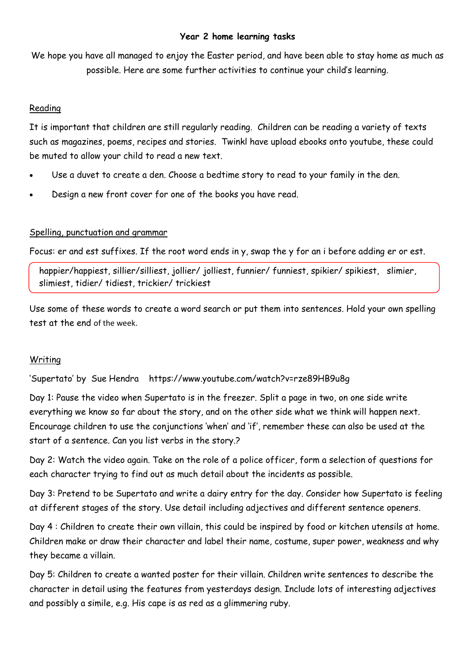#### **Year 2 home learning tasks**

We hope you have all managed to enjoy the Easter period, and have been able to stay home as much as possible. Here are some further activities to continue your child's learning.

#### Reading

It is important that children are still regularly reading. Children can be reading a variety of texts such as magazines, poems, recipes and stories. Twinkl have upload ebooks onto youtube, these could be muted to allow your child to read a new text.

- Use a duvet to create a den. Choose a bedtime story to read to your family in the den.
- Design a new front cover for one of the books you have read.

# Spelling, punctuation and grammar

Focus: er and est suffixes. If the root word ends in y, swap the y for an i before adding er or est.

happier/happiest, sillier/silliest, jollier/ jolliest, funnier/ funniest, spikier/ spikiest, slimier, slimiest, tidier/ tidiest, trickier/ trickiest

Use some of these words to create a word search or put them into sentences. Hold your own spelling test at the end of the week.

# Writing

'Supertato' by Sue Hendra https://www.youtube.com/watch?v=rze89HB9u8g

Day 1: Pause the video when Supertato is in the freezer. Split a page in two, on one side write everything we know so far about the story, and on the other side what we think will happen next. Encourage children to use the conjunctions 'when' and 'if', remember these can also be used at the start of a sentence. Can you list verbs in the story.?

Day 2: Watch the video again. Take on the role of a police officer, form a selection of questions for each character trying to find out as much detail about the incidents as possible.

Day 3: Pretend to be Supertato and write a dairy entry for the day. Consider how Supertato is feeling at different stages of the story. Use detail including adjectives and different sentence openers.

Day 4 : Children to create their own villain, this could be inspired by food or kitchen utensils at home. Children make or draw their character and label their name, costume, super power, weakness and why they became a villain.

Day 5: Children to create a wanted poster for their villain. Children write sentences to describe the character in detail using the features from yesterdays design. Include lots of interesting adjectives and possibly a simile, e.g. His cape is as red as a glimmering ruby.